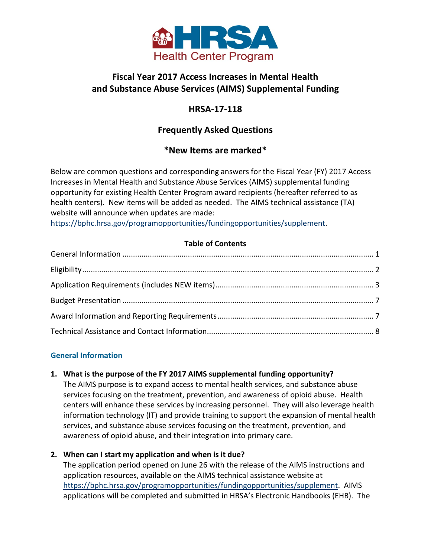

# **Fiscal Year 2017 Access Increases in Mental Health and Substance Abuse Services (AIMS) Supplemental Funding**

# **HRSA-17-118**

# **Frequently Asked Questions**

# **\*New Items are marked\***

Below are common questions and corresponding answers for the Fiscal Year (FY) 2017 Access Increases in Mental Health and Substance Abuse Services (AIMS) supplemental funding opportunity for existing Health Center Program award recipients (hereafter referred to as health centers). New items will be added as needed. The AIMS technical assistance (TA) website will announce when updates are made:

[https://bphc.hrsa.gov/programopportunities/fundingopportunities/supplement.](https://bphc.hrsa.gov/programopportunities/fundingopportunities/supplement)

# **Table of Contents**

# <span id="page-0-0"></span>**General Information**

# **1. What is the purpose of the FY 2017 AIMS supplemental funding opportunity?**

The AIMS purpose is to expand access to mental health services, and substance abuse services focusing on the treatment, prevention, and awareness of opioid abuse. Health centers will enhance these services by increasing personnel. They will also leverage health information technology (IT) and provide training to support the expansion of mental health services, and substance abuse services focusing on the treatment, prevention, and awareness of opioid abuse, and their integration into primary care.

# **2. When can I start my application and when is it due?**

The application period opened on June 26 with the release of the AIMS instructions and application resources, available on the AIMS technical assistance website at [https://bphc.hrsa.gov/programopportunities/fundingopportunities/supplement.](https://bphc.hrsa.gov/programopportunities/fundingopportunities/supplement) AIMS applications will be completed and submitted in HRSA's Electronic Handbooks (EHB). The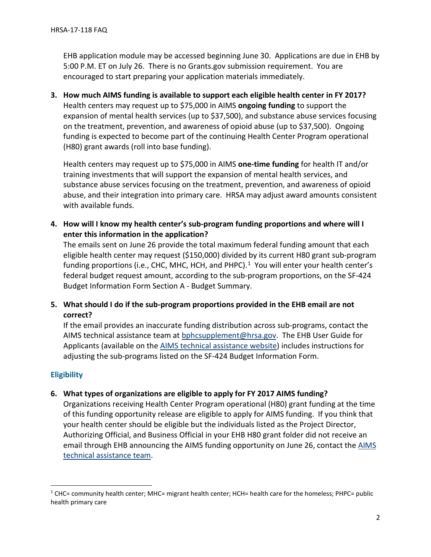EHB application module may be accessed beginning June 30. Applications are due in EHB by 5:00 P.M. ET on July 26. There is no Grants.gov submission requirement. You are encouraged to start preparing your application materials immediately.

**3. How much AIMS funding is available to support each eligible health center in FY 2017?** Health centers may request up to \$75,000 in AIMS **ongoing funding** to support the expansion of mental health services (up to \$37,500), and substance abuse services focusing on the treatment, prevention, and awareness of opioid abuse (up to \$37,500). Ongoing funding is expected to become part of the continuing Health Center Program operational (H80) grant awards (roll into base funding).

Health centers may request up to \$75,000 in AIMS **one-time funding** for health IT and/or training investments that will support the expansion of mental health services, and substance abuse services focusing on the treatment, prevention, and awareness of opioid abuse, and their integration into primary care. HRSA may adjust award amounts consistent with available funds.

**4. How will I know my health center's sub-program funding proportions and where will I enter this information in the application?** 

The emails sent on June 26 provide the total maximum federal funding amount that each eligible health center may request (\$150,000) divided by its current H80 grant sub-program funding proportions (i.e., CHC, MHC, HCH, and PHPC).<sup>[1](#page-1-1)</sup> You will enter your health center's federal budget request amount, according to the sub-program proportions, on the SF-424 Budget Information Form Section A - Budget Summary.

**5. What should I do if the sub-program proportions provided in the EHB email are not correct?**

If the email provides an inaccurate funding distribution across sub-programs, contact the AIMS technical assistance team at [bphcsupplement@hrsa.gov.](mailto:bphcsupplement@hrsa.gov) The EHB User Guide for Applicants (available on the [AIMS technical assistance website\)](https://bphc.hrsa.gov/programopportunities/fundingopportunities/supplement) includes instructions for adjusting the sub-programs listed on the SF-424 Budget Information Form.

# <span id="page-1-0"></span>**Eligibility**

l

**6. What types of organizations are eligible to apply for FY 2017 AIMS funding?**

Organizations receiving Health Center Program operational (H80) grant funding at the time of this funding opportunity release are eligible to apply for AIMS funding. If you think that your health center should be eligible but the individuals listed as the Project Director, Authorizing Official, and Business Official in your EHB H80 grant folder did not receive an email through EHB announcing the AIMS funding opportunity on June 26, contact the [AIMS](mailto:the%20AIMS%20technical%20assistance%20team)  [technical assistance team.](mailto:the%20AIMS%20technical%20assistance%20team)

<span id="page-1-1"></span> $1$  CHC= community health center; MHC= migrant health center; HCH= health care for the homeless; PHPC= public health primary care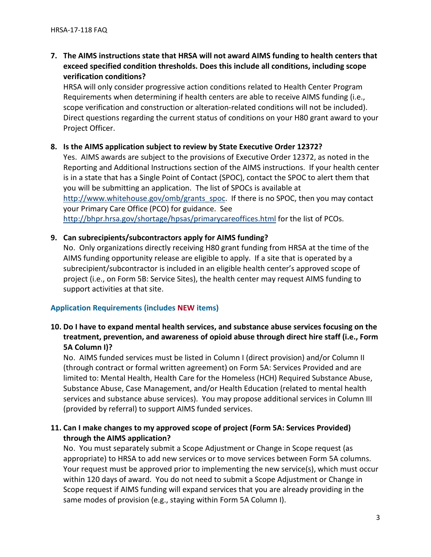# **7. The AIMS instructions state that HRSA will not award AIMS funding to health centers that exceed specified condition thresholds. Does this include all conditions, including scope verification conditions?**

HRSA will only consider progressive action conditions related to Health Center Program Requirements when determining if health centers are able to receive AIMS funding (i.e., scope verification and construction or alteration-related conditions will not be included). Direct questions regarding the current status of conditions on your H80 grant award to your Project Officer.

#### **8. Is the AIMS application subject to review by State Executive Order 12372?**

Yes. AIMS awards are subject to the provisions of Executive Order 12372, as noted in the Reporting and Additional Instructions section of the AIMS instructions. If your health center is in a state that has a Single Point of Contact (SPOC), contact the SPOC to alert them that you will be submitting an application. The list of SPOCs is available at [http://www.whitehouse.gov/omb/grants\\_spoc.](http://www.whitehouse.gov/omb/grants_spoc) If there is no SPOC, then you may contact your Primary Care Office (PCO) for guidance. See <http://bhpr.hrsa.gov/shortage/hpsas/primarycareoffices.html> for the list of PCOs.

## **9. Can subrecipients/subcontractors apply for AIMS funding?**

No. Only organizations directly receiving H80 grant funding from HRSA at the time of the AIMS funding opportunity release are eligible to apply. If a site that is operated by a subrecipient/subcontractor is included in an eligible health center's approved scope of project (i.e., on Form 5B: Service Sites), the health center may request AIMS funding to support activities at that site.

# <span id="page-2-0"></span>**Application Requirements (includes NEW items)**

# **10. Do I have to expand mental health services, and substance abuse services focusing on the treatment, prevention, and awareness of opioid abuse through direct hire staff (i.e., Form 5A Column I)?**

No. AIMS funded services must be listed in Column I (direct provision) and/or Column II (through contract or formal written agreement) on Form 5A: Services Provided and are limited to: Mental Health, Health Care for the Homeless (HCH) Required Substance Abuse, Substance Abuse, Case Management, and/or Health Education (related to mental health services and substance abuse services). You may propose additional services in Column III (provided by referral) to support AIMS funded services.

# **11. Can I make changes to my approved scope of project (Form 5A: Services Provided) through the AIMS application?**

No. You must separately submit a Scope Adjustment or Change in Scope request (as appropriate) to HRSA to add new services or to move services between Form 5A columns. Your request must be approved prior to implementing the new service(s), which must occur within 120 days of award. You do not need to submit a Scope Adjustment or Change in Scope request if AIMS funding will expand services that you are already providing in the same modes of provision (e.g., staying within Form 5A Column I).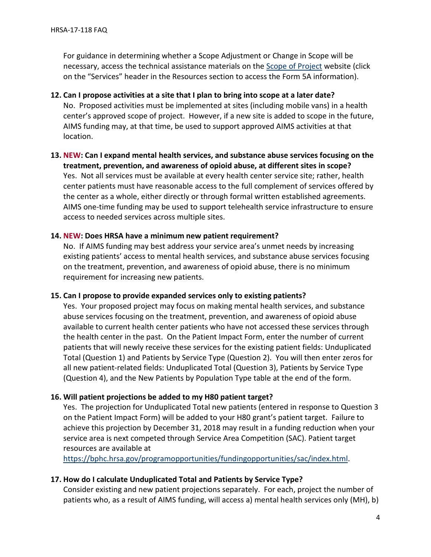For guidance in determining whether a Scope Adjustment or Change in Scope will be necessary, access the technical assistance materials on the [Scope of Project](https://bphc.hrsa.gov/programrequirements/scope.html) website (click on the "Services" header in the Resources section to access the Form 5A information).

# **12. Can I propose activities at a site that I plan to bring into scope at a later date?** No. Proposed activities must be implemented at sites (including mobile vans) in a health center's approved scope of project. However, if a new site is added to scope in the future, AIMS funding may, at that time, be used to support approved AIMS activities at that location.

# **13. NEW: Can I expand mental health services, and substance abuse services focusing on the treatment, prevention, and awareness of opioid abuse, at different sites in scope?**  Yes. Not all services must be available at every health center service site; rather, health center patients must have reasonable access to the full complement of services offered by the center as a whole, either directly or through formal written established agreements. AIMS one-time funding may be used to support telehealth service infrastructure to ensure access to needed services across multiple sites.

#### **14. NEW: Does HRSA have a minimum new patient requirement?**

No. If AIMS funding may best address your service area's unmet needs by increasing existing patients' access to mental health services, and substance abuse services focusing on the treatment, prevention, and awareness of opioid abuse, there is no minimum requirement for increasing new patients.

#### **15. Can I propose to provide expanded services only to existing patients?**

Yes. Your proposed project may focus on making mental health services, and substance abuse services focusing on the treatment, prevention, and awareness of opioid abuse available to current health center patients who have not accessed these services through the health center in the past. On the Patient Impact Form, enter the number of current patients that will newly receive these services for the existing patient fields: Unduplicated Total (Question 1) and Patients by Service Type (Question 2). You will then enter zeros for all new patient-related fields: Unduplicated Total (Question 3), Patients by Service Type (Question 4), and the New Patients by Population Type table at the end of the form.

#### **16. Will patient projections be added to my H80 patient target?**

Yes. The projection for Unduplicated Total new patients (entered in response to Question 3 on the Patient Impact Form) will be added to your H80 grant's patient target. Failure to achieve this projection by December 31, 2018 may result in a funding reduction when your service area is next competed through Service Area Competition (SAC). Patient target resources are available at

[https://bphc.hrsa.gov/programopportunities/fundingopportunities/sac/index.html.](https://bphc.hrsa.gov/programopportunities/fundingopportunities/sac/index.html)

#### **17. How do I calculate Unduplicated Total and Patients by Service Type?**

Consider existing and new patient projections separately. For each, project the number of patients who, as a result of AIMS funding, will access a) mental health services only (MH), b)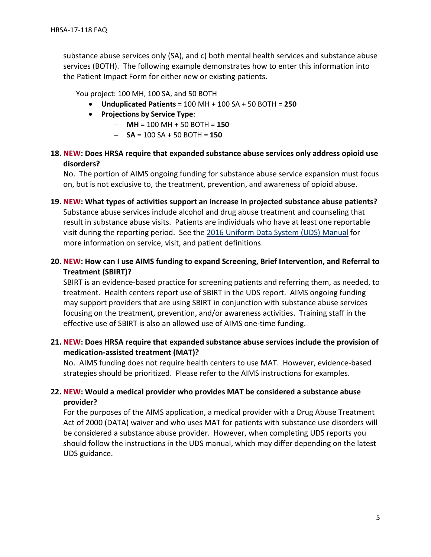substance abuse services only (SA), and c) both mental health services and substance abuse services (BOTH). The following example demonstrates how to enter this information into the Patient Impact Form for either new or existing patients.

You project: 100 MH, 100 SA, and 50 BOTH

- **Unduplicated Patients** = 100 MH + 100 SA + 50 BOTH = **250**
- **Projections by Service Type**:
	- ⁃ **MH** = 100 MH + 50 BOTH = **150**
	- $-$  **SA** = 100 SA + 50 BOTH = 150

## **18. NEW: Does HRSA require that expanded substance abuse services only address opioid use disorders?**

No. The portion of AIMS ongoing funding for substance abuse service expansion must focus on, but is not exclusive to, the treatment, prevention, and awareness of opioid abuse.

- **19. NEW: What types of activities support an increase in projected substance abuse patients?** Substance abuse services include alcohol and drug abuse treatment and counseling that result in substance abuse visits. Patients are individuals who have at least one reportable visit during the reporting period. See the [2016 Uniform Data System \(UDS\) Manual](https://bphc.hrsa.gov/datareporting/reporting/2016udsreportingmanual.pdf) for more information on service, visit, and patient definitions.
- **20. NEW: How can I use AIMS funding to expand Screening, Brief Intervention, and Referral to Treatment (SBIRT)?**

SBIRT is an evidence-based practice for screening patients and referring them, as needed, to treatment. Health centers report use of SBIRT in the UDS report. AIMS ongoing funding may support providers that are using SBIRT in conjunction with substance abuse services focusing on the treatment, prevention, and/or awareness activities. Training staff in the effective use of SBIRT is also an allowed use of AIMS one-time funding.

**21. NEW: Does HRSA require that expanded substance abuse services include the provision of medication-assisted treatment (MAT)?** 

No. AIMS funding does not require health centers to use MAT. However, evidence-based strategies should be prioritized. Please refer to the AIMS instructions for examples.

# **22. NEW: Would a medical provider who provides MAT be considered a substance abuse provider?**

For the purposes of the AIMS application, a medical provider with a Drug Abuse Treatment Act of 2000 (DATA) waiver and who uses MAT for patients with substance use disorders will be considered a substance abuse provider. However, when completing UDS reports you should follow the instructions in the UDS manual, which may differ depending on the latest UDS guidance.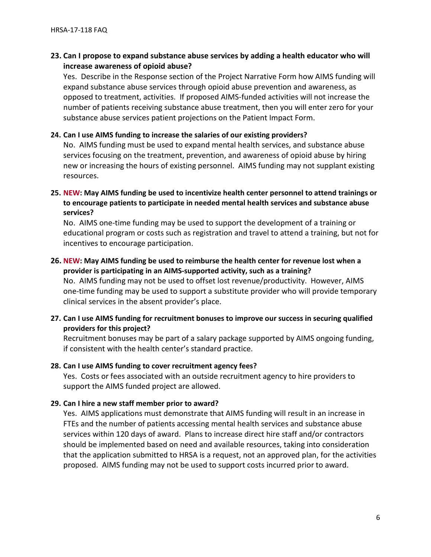# **23. Can I propose to expand substance abuse services by adding a health educator who will increase awareness of opioid abuse?**

Yes. Describe in the Response section of the Project Narrative Form how AIMS funding will expand substance abuse services through opioid abuse prevention and awareness, as opposed to treatment, activities. If proposed AIMS-funded activities will not increase the number of patients receiving substance abuse treatment, then you will enter zero for your substance abuse services patient projections on the Patient Impact Form.

#### **24. Can I use AIMS funding to increase the salaries of our existing providers?**

No. AIMS funding must be used to expand mental health services, and substance abuse services focusing on the treatment, prevention, and awareness of opioid abuse by hiring new or increasing the hours of existing personnel. AIMS funding may not supplant existing resources.

#### **25. NEW: May AIMS funding be used to incentivize health center personnel to attend trainings or to encourage patients to participate in needed mental health services and substance abuse services?**

No. AIMS one-time funding may be used to support the development of a training or educational program or costs such as registration and travel to attend a training, but not for incentives to encourage participation.

## **26. NEW: May AIMS funding be used to reimburse the health center for revenue lost when a provider is participating in an AIMS-supported activity, such as a training?**

No. AIMS funding may not be used to offset lost revenue/productivity. However, AIMS one-time funding may be used to support a substitute provider who will provide temporary clinical services in the absent provider's place.

## **27. Can I use AIMS funding for recruitment bonuses to improve our success in securing qualified providers for this project?**

Recruitment bonuses may be part of a salary package supported by AIMS ongoing funding, if consistent with the health center's standard practice.

#### **28. Can I use AIMS funding to cover recruitment agency fees?**

Yes. Costs or fees associated with an outside recruitment agency to hire providers to support the AIMS funded project are allowed.

#### **29. Can I hire a new staff member prior to award?**

Yes. AIMS applications must demonstrate that AIMS funding will result in an increase in FTEs and the number of patients accessing mental health services and substance abuse services within 120 days of award. Plans to increase direct hire staff and/or contractors should be implemented based on need and available resources, taking into consideration that the application submitted to HRSA is a request, not an approved plan, for the activities proposed. AIMS funding may not be used to support costs incurred prior to award.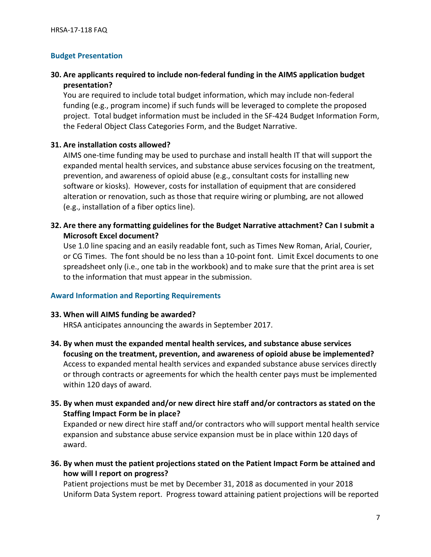#### <span id="page-6-0"></span>**Budget Presentation**

# **30. Are applicants required to include non-federal funding in the AIMS application budget presentation?**

You are required to include total budget information, which may include non-federal funding (e.g., program income) if such funds will be leveraged to complete the proposed project. Total budget information must be included in the SF-424 Budget Information Form, the Federal Object Class Categories Form, and the Budget Narrative.

#### **31. Are installation costs allowed?**

AIMS one-time funding may be used to purchase and install health IT that will support the expanded mental health services, and substance abuse services focusing on the treatment, prevention, and awareness of opioid abuse (e.g., consultant costs for installing new software or kiosks). However, costs for installation of equipment that are considered alteration or renovation, such as those that require wiring or plumbing, are not allowed (e.g., installation of a fiber optics line).

# **32. Are there any formatting guidelines for the Budget Narrative attachment? Can I submit a Microsoft Excel document?**

Use 1.0 line spacing and an easily readable font, such as Times New Roman, Arial, Courier, or CG Times. The font should be no less than a 10-point font. Limit Excel documents to one spreadsheet only (i.e., one tab in the workbook) and to make sure that the print area is set to the information that must appear in the submission.

#### <span id="page-6-1"></span>**Award Information and Reporting Requirements**

#### **33. When will AIMS funding be awarded?**

HRSA anticipates announcing the awards in September 2017.

- **34. By when must the expanded mental health services, and substance abuse services focusing on the treatment, prevention, and awareness of opioid abuse be implemented?** Access to expanded mental health services and expanded substance abuse services directly or through contracts or agreements for which the health center pays must be implemented within 120 days of award.
- **35. By when must expanded and/or new direct hire staff and/or contractors as stated on the Staffing Impact Form be in place?**

Expanded or new direct hire staff and/or contractors who will support mental health service expansion and substance abuse service expansion must be in place within 120 days of award.

**36. By when must the patient projections stated on the Patient Impact Form be attained and how will I report on progress?** 

Patient projections must be met by December 31, 2018 as documented in your 2018 Uniform Data System report. Progress toward attaining patient projections will be reported